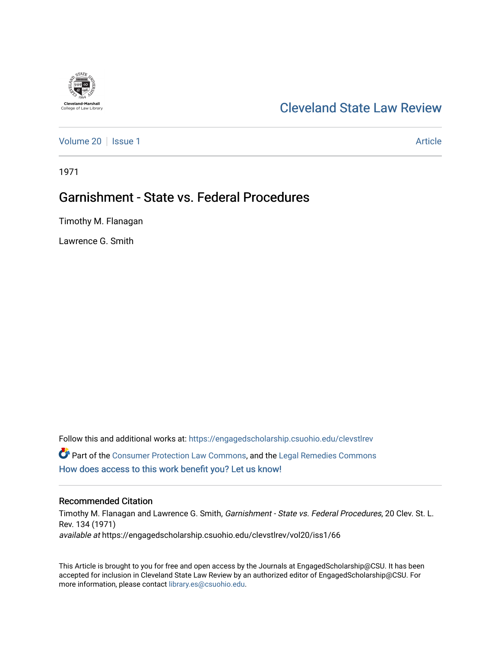# [Cleveland State Law Review](https://engagedscholarship.csuohio.edu/clevstlrev)

[Volume 20](https://engagedscholarship.csuohio.edu/clevstlrev/vol20) | [Issue 1](https://engagedscholarship.csuohio.edu/clevstlrev/vol20/iss1) Article

1971

**Cleveland-Marshall**<br>College of Law Librar

# Garnishment - State vs. Federal Procedures

Timothy M. Flanagan

Lawrence G. Smith

Follow this and additional works at: [https://engagedscholarship.csuohio.edu/clevstlrev](https://engagedscholarship.csuohio.edu/clevstlrev?utm_source=engagedscholarship.csuohio.edu%2Fclevstlrev%2Fvol20%2Fiss1%2F66&utm_medium=PDF&utm_campaign=PDFCoverPages) Part of the [Consumer Protection Law Commons,](http://network.bepress.com/hgg/discipline/838?utm_source=engagedscholarship.csuohio.edu%2Fclevstlrev%2Fvol20%2Fiss1%2F66&utm_medium=PDF&utm_campaign=PDFCoverPages) and the [Legal Remedies Commons](http://network.bepress.com/hgg/discipline/618?utm_source=engagedscholarship.csuohio.edu%2Fclevstlrev%2Fvol20%2Fiss1%2F66&utm_medium=PDF&utm_campaign=PDFCoverPages) [How does access to this work benefit you? Let us know!](http://library.csuohio.edu/engaged/)

# Recommended Citation

Timothy M. Flanagan and Lawrence G. Smith, Garnishment - State vs. Federal Procedures, 20 Clev. St. L. Rev. 134 (1971) available at https://engagedscholarship.csuohio.edu/clevstlrev/vol20/iss1/66

This Article is brought to you for free and open access by the Journals at EngagedScholarship@CSU. It has been accepted for inclusion in Cleveland State Law Review by an authorized editor of EngagedScholarship@CSU. For more information, please contact [library.es@csuohio.edu](mailto:library.es@csuohio.edu).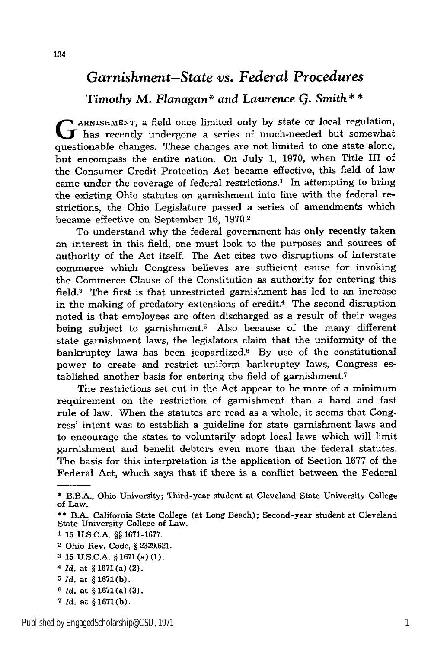# *Garnishment-State vs. Federal Procedures*

*Timothy* M. *Flanagan\* and Lawrence G. Smith* **\* \***

**G** ARNISHMENT, a field once limited only by state or local regulation, has recently undergone a series of much-needed but somewhat questionable changes. These changes are not limited to one state alone, but encompass the entire nation. On July 1, 1970, when Title III of the Consumer Credit Protection Act became effective, this field of law came under the coverage of federal restrictions.' In attempting to bring the existing Ohio statutes on garnishment into line with the federal restrictions, the Ohio Legislature passed a series of amendments which became effective on September **16,** 1970.2

To understand why the federal government has only recently taken an interest in this field, one must look to the purposes and sources of authority of the Act itself. The Act cites two disruptions of interstate commerce which Congress believes are sufficient cause for invoking the Commerce Clause of the Constitution as authority for entering this field.3 The first is that unrestricted garnishment has led to an increase in the making of predatory extensions of credit.<sup>4</sup> The second disruption noted is that employees are often discharged as a result of their wages being subject to garnishment.5 Also because of the many different state garnishment laws, the legislators claim that the uniformity of the bankruptcy laws has been jeopardized. $6$  By use of the constitutional power to create and restrict uniform bankruptcy laws, Congress established another basis for entering the field of garnishment.7

The restrictions set out in the Act appear to be more of a minimum requirement on the restriction of garnishment than a hard and fast rule of law. When the statutes are read as a whole, it seems that Congress' intent was to establish a guideline for state garnishment laws and to encourage the states to voluntarily adopt local laws which will limit garnishment and benefit debtors even more than the federal statutes. The basis for this interpretation is the application of Section 1677 of the Federal Act, which says that if there is a conflict between the Federal

- **1 15** U.S.C.A. **§§** 1671-1677.
- 2 Ohio Rev. Code, § **2329.621.**
- **3** 15 U.S.C.A. § 1671 (a) (1).
- *<sup>4</sup>Id.* at § 1671(a) (2).
- *5 Id.* at § 1671(b).
- *6 Id.* at **§ 1671(a) (3).**
- *<sup>7</sup>Id.* at § 1671(b).

**<sup>\*</sup>** B.B.A., Ohio University; Third-year student at Cleveland State University College of Law.

**<sup>\*\*</sup>** B.A., California State College (at Long Beach); Second-year student at Cleveland State University College of Law.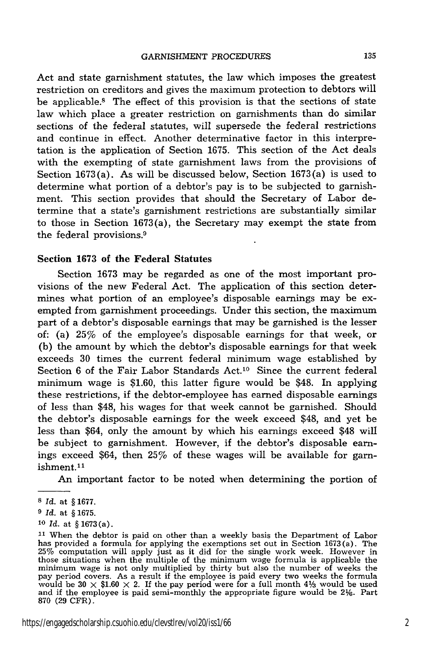Act and state garnishment statutes, the law which imposes the greatest restriction on creditors and gives the maximum protection to debtors will be applicable.8 The effect of this provision is that the sections of state law which place a greater restriction on garnishments than do similar sections of the federal statutes, will supersede the federal restrictions and continue in effect. Another determinative factor in this interpretation is the application of Section 1675. This section of the Act deals with the exempting of state garnishment laws from the provisions of Section 1673(a). As will be discussed below, Section 1673(a) is used to determine what portion of a debtor's pay is to be subjected to garnishment. This section provides that should the Secretary of Labor determine that a state's garnishment restrictions are substantially similar to those in Section 1673(a), the Secretary may exempt the state from the federal provisions.9

#### **Section 1673 of the Federal Statutes**

Section 1673 may be regarded as one of the most important provisions of the new Federal Act. The application of this section determines what portion of an employee's disposable earnings may be exempted from garnishment proceedings. Under this section, the maximum part of a debtor's disposable earnings that may be garnished is the lesser of: (a) 25% of the employee's disposable earnings for that week, or (b) the amount by which the debtor's disposable earnings for that week exceeds 30 times the current federal minimum wage established by Section 6 of the Fair Labor Standards  $Act.^{10}$  Since the current federal minimum wage is \$1.60, this latter figure would be \$48. In applying these restrictions, if the debtor-employee has earned disposable earnings of less than \$48, his wages for that week cannot be garnished. Should the debtor's disposable earnings for the week exceed \$48, and yet be less than \$64, only the amount by which his earnings exceed \$48 will be subject to garnishment. However, if the debtor's disposable earnings exceed \$64, then 25% of these wages will be available for garnishment. <sup>1</sup>

An important factor to be noted when determining the portion of

*10 Id.* at § 1673(a).

https://engagedscholarship.csuohio.edu/clevstlrev/vol20/iss1/66 2

**<sup>8</sup>***Id.* at § 1677.

**<sup>9</sup>** *Id.* at § 1675.

**<sup>11</sup>**When the debtor is paid on other than a weekly basis the Department of Labor has provided a formula for applying the exemptions set out in Section 1673(a). The 25% computation will apply just as it did for the single work week. However in those situations when the multiple of the minimum wage formula is applicable the<br>minimum wage is not only multiplied by thirty but also the number of weeks the<br>pay period covers. As a result if the employee is paid every t would be 30  $\times$  \$1.60  $\times$  2. If the pay period were for a full month 41/3 would be used and if the employee is paid semi-monthly the appropriate figure would be 2%. Part **870 (29** CFR).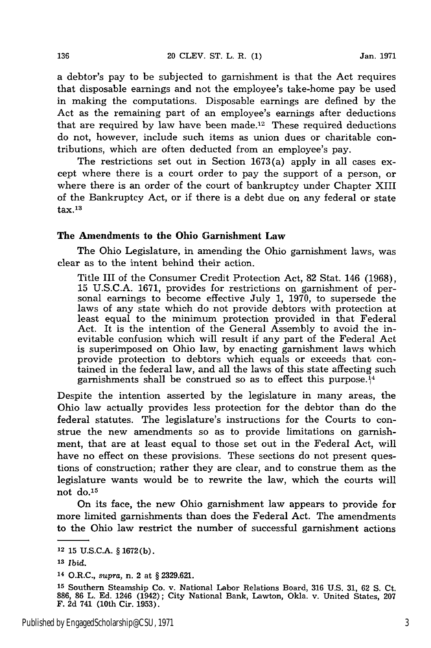a debtor's pay to be subjected to garnishment is that the Act requires that disposable earnings and not the employee's take-home pay be used in making the computations. Disposable earnings are defined by the Act as the remaining part of an employee's earnings after deductions that are required by law have been made.12 These required deductions do not, however, include such items as union dues or charitable contributions, which are often deducted from an employee's pay.

The restrictions set out in Section 1673(a) apply in all cases except where there is a court order to pay the support of a person, or where there is an order of the court of bankruptcy under Chapter XIII of the Bankruptcy Act, or if there is a debt due on any federal or state  $\rm tax.^{\scriptscriptstyle 13}$ 

#### The Amendments to the Ohio Garnishment Law

The Ohio Legislature, in amending the Ohio garnishment laws, was clear as to the intent behind their action.

Title III of the Consumer Credit Protection Act, **82** Stat. 146 **(1968), 15 U.S.C.A. 1671,** provides for restrictions on garnishment of personal earnings to become effective July **1, 1970,** to supersede the laws of any state which do not provide debtors with protection at least equal to the minimum protection provided in that Federal Act. It is the intention of the General Assembly to avoid the inevitable confusion which will result if any part of the Federal Act is superimposed on Ohio law, **by** enacting garnishment laws which provide protection to debtors which equals or exceeds that contained in the federal law, and all the laws of this state affecting such garnishments shall be construed so as to effect this purpose.<sup>14</sup>

Despite the intention asserted **by** the legislature in many areas, the Ohio law actually provides less protection for the debtor than do the federal statutes. The legislature's instructions for the Courts to construe the new amendments so as to provide limitations on garnishment, that are at least equal to those set out in the Federal Act, will have no effect on these provisions. These sections do not present questions of construction; rather they are clear, and to construe them as the legislature wants would be to rewrite the law, which the courts will not do.<sup>15</sup>

On its face, the new Ohio garnishment law appears to provide for more limited garnishments than does the Federal Act. The amendments to the Ohio law restrict the number of successful garnishment actions

<sup>12</sup>**15 U.S.C.A.** § **1672 (b).**

**<sup>13</sup>***Ibid.*

<sup>14</sup>O.R.C., *supra,* n. 2 at § **2329.621.**

**<sup>15</sup>**Southern Steamship Co. v. National Labor Relations Board, **316 U.S. 31, 62 S.** Ct. **886, 86** L. **Ed.** 1246 (1942); City National Bank, Lawton, Okla. v. United States, **207** F. **2d** 741 **(10th** Cir. **1953).**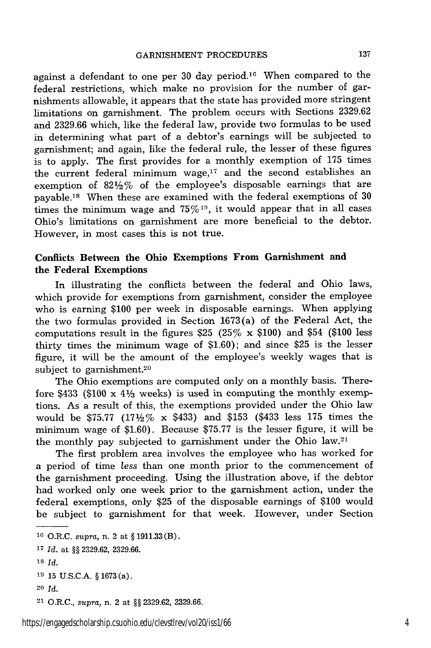against a defendant to one per 30 day period.16 When compared to the federal restrictions, which make no provision for the number of garnishments allowable, it appears that the state has provided more stringent limitations on garnishment. The problem occurs with Sections 2329.62 and 2329.66 which, like the federal law, provide two formulas to be used in determining what part of a debtor's earnings will be subjected to garnishment; and again, like the federal rule, the lesser of these figures is to apply. The first provides for a monthly exemption of 175 times the current federal minimum wage, $17$  and the second establishes an exemption of 821/2% of the employee's disposable earnings that are payable.<sup>18</sup> When these are examined with the federal exemptions of  $30$ times the minimum wage and  $75\%$ <sup>19</sup>, it would appear that in all cases Ohio's limitations on garnishment are more beneficial to the debtor. However, in most cases this is not true.

## **Conflicts Between the Ohio Exemptions From Garnishment and the Federal Exemptions**

In illustrating the conflicts between the federal and Ohio laws, which provide for exemptions from garnishment, consider the employee who is earning \$100 per week in disposable earnings. When applying the two formulas provided in Section 1673(a) of the Federal Act, the computations result in the figures \$25 (25% x \$100) and \$54 (\$100 less thirty times the minimum wage of \$1.60); and since \$25 is the lesser figure, it will be the amount of the employee's weekly wages that is subject to garnishment.<sup>20</sup>

The Ohio exemptions are computed only on a monthly basis. Therefore \$433 (\$100 x  $4\frac{1}{3}$  weeks) is used in computing the monthly exemptions. As a result of this, the exemptions provided under the Ohio law would be \$75.77 (17 $\frac{1}{2}$ % x \$433) and \$153 (\$433 less 175 times the minimum wage of \$1.60). Because \$75.77 is the lesser figure, it will be the monthly pay subjected to garnishment under the Ohio law. $21$ 

The first problem area involves the employee who has worked for a period of time *less* than one month prior to the commencement of the garnishment proceeding. Using the illustration above, if the debtor had worked only one week prior to the garnishment action, under the federal exemptions, only \$25 of the disposable earnings of \$100 would be subject to garnishment for that week. However, under Section

<sup>16</sup> O.R.C. *supra,* n. 2 at § 1911.33 (B). <sup>17</sup>*Id.* at §§ 2329.62, 2329.66. **18** *Id.* **<sup>19</sup>**15 U.S.C.A. § 1673 (a). 20 Id. 21 O.R.C., *supra,* n. 2 at §§ 2329.62, 2329.66.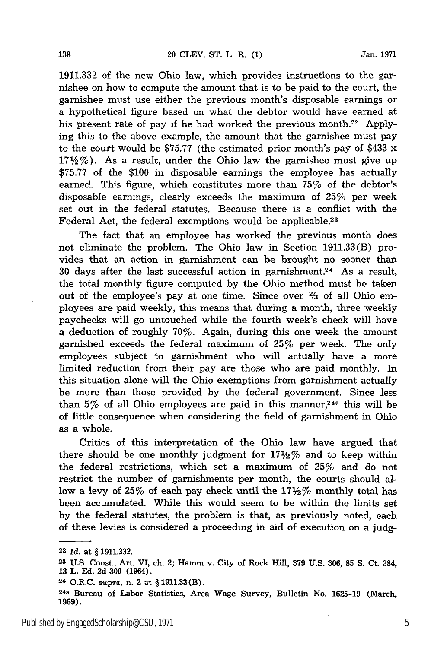1911.332 of the new Ohio law, which provides instructions to the garnishee on how to compute the amount that is to be paid to the court, the garnishee must use either the previous month's disposable earnings or a hypothetical figure based on what the debtor would have earned at his present rate of pay if he had worked the previous month.<sup>22</sup> Applying this to the above example, the amount that the garnishee must pay to the court would be \$75.77 (the estimated prior month's pay of \$433 x  $17\frac{1}{2}\%$ ). As a result, under the Ohio law the garnishee must give up \$75.77 of the \$100 in disposable earnings the employee has actually earned. This figure, which constitutes more than 75% of the debtor's disposable earnings, clearly exceeds the maximum of 25% per week set out in the federal statutes. Because there is a conflict with the Federal Act, the federal exemptions would be applicable.23

The fact that an employee has worked the previous month does not eliminate the problem. The Ohio law in Section 1911.33(B) provides that an action in garnishment can be brought no sooner than 30 days after the last successful action in garnishment.<sup>24</sup> As a result, the total monthly figure computed by the Ohio method must be taken out of the employee's pay at one time. Since over **%** of all Ohio employees are paid weekly, this means that during a month, three weekly paychecks will go untouched while the fourth week's check will have a deduction of roughly 70%. Again, during this one week the amount garnished exceeds the federal maximum of 25% per week. The only employees subject to garnishment who will actually have a more limited reduction from their pay are those who are paid monthly. In this situation alone will the Ohio exemptions from garnishment actually be more than those provided by the federal government. Since less than  $5\%$  of all Ohio employees are paid in this manner,<sup>24a</sup> this will be of little consequence when considering the field of garnishment in Ohio as a whole.

Critics of this interpretation of the Ohio law have argued that there should be one monthly judgment for  $17\frac{1}{2}\%$  and to keep within the federal restrictions, which set a maximum of 25% and do not restrict the number of garnishments per month, the courts should allow a levy of 25% of each pay check until the  $17\frac{1}{2}\%$  monthly total has been accumulated. While this would seem to be within the limits set by the federal statutes, the problem is that, as previously noted, each of these levies is considered a proceeding in aid of execution on a judg-

138

<sup>22</sup>*Id.* at § 1911.332.

**<sup>23</sup> U.S.** Const., Art. VI, ch. 2; Hamm v. City of Rock Hill, 379 U.S. 306, 85 **S.** Ct. 384, 13 L. Ed. 2d **300** (1964).

**<sup>24</sup>**O.R.C. *supra,* n. 2 at § 1911.33(B).

<sup>24</sup>a Bureau of Labor Statistics, Area Wage Survey, Bulletin No. 1625-19 (March, 1969).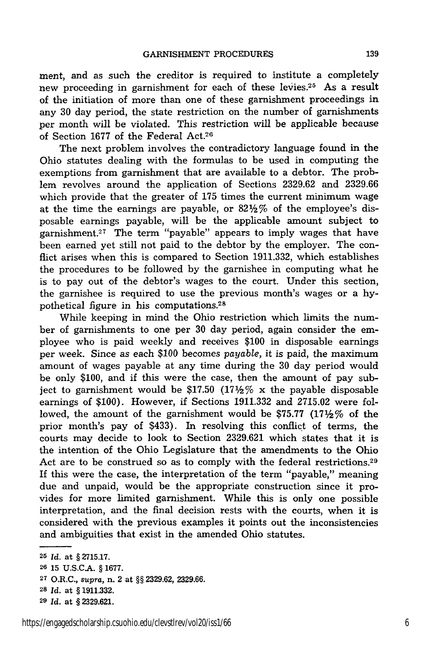ment, and as such the creditor is required to institute a completely new proceeding in garnishment for each of these levies.25 As a result of the initiation of more than one of these garnishment proceedings in any 30 day period, the state restriction on the number of garnishments per month will be violated. This restriction will be applicable because of Section 1677 of the Federal Act.20

The next problem involves the contradictory language found in the Ohio statutes dealing with the formulas to be used in computing the exemptions from garnishment that are available to a debtor. The problem revolves around the application of Sections 2329.62 and 2329.66 which provide that the greater of 175 times the current minimum wage at the time the earnings are payable, or  $82\frac{1}{2}\%$  of the employee's disposable earnings payable, will be the applicable amount subject to garnishment.<sup>27</sup> The term "payable" appears to imply wages that have been earned yet still not paid to the debtor by the employer. The conflict arises when this is compared to Section 1911.332, which establishes the procedures to be followed by the garnishee in computing what he is to pay out of the debtor's wages to the court. Under this section, the garnishee is required to use the previous month's wages or a hypothetical figure in his computations.<sup>28</sup>

While keeping in mind the Ohio restriction which limits the number of garnishments to one per 30 day period, again consider the employee who is paid weekly and receives \$100 in disposable earnings per week. Since as each \$100 becomes *payable,* it is paid, the maximum amount of wages payable at any time during the 30 day period would be only \$100, and if this were the case, then the amount of pay subject to garnishment would be \$17.50 (17\\phi \notas & the payable disposable earnings of \$100). However, if Sections 1911.332 and 2715.02 were followed, the amount of the garnishment would be \$75.77 (17 $\frac{17}{2}$ % of the prior month's pay of \$433). In resolving this conflict of terms, the courts may decide to look to Section 2329.621 which states that it is the intention of the Ohio Legislature that the amendments to the Ohio Act are to be construed so as to comply with the federal restrictions.<sup>29</sup> If this were the case, the interpretation of the term "payable," meaning due and unpaid, would be the appropriate construction since it provides for more limited garnishment. While this is only one possible interpretation, and the final decision rests with the courts, when it is considered with the previous examples it points out the inconsistencies and ambiguities that exist in the amended Ohio statutes.

**<sup>25</sup>***Id.* at § **2715.17.**

**<sup>26 15</sup> U.S.C.A.** § **1677.**

**<sup>27</sup>**O.R.C., supra, n. 2 at §§ 2329.62, 2329.66.

**<sup>28</sup>***Id.* at § 1911.332.

**<sup>29</sup>***Id.* at § 2329.621.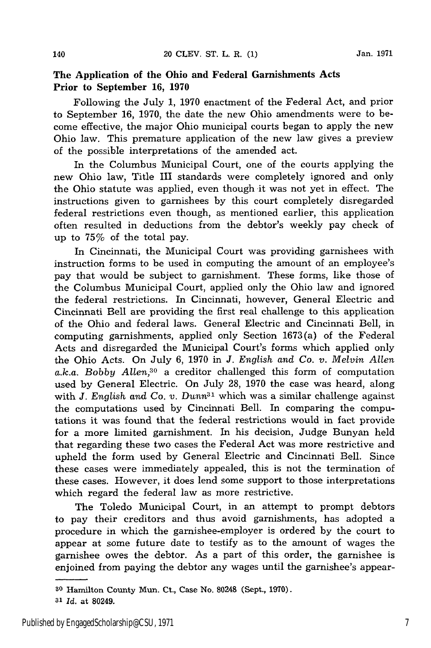### **The Application of the Ohio and Federal Garnishments Acts Prior to September 16, 1970**

Following the July 1, 1970 enactment of the Federal Act, and prior to September **16, 1970,** the date the new Ohio amendments were to become effective, the major Ohio municipal courts began to apply the new Ohio law. This premature application of the new law gives a preview of the possible interpretations of the amended act.

In the Columbus Municipal Court, one of the courts applying the new Ohio law, Title III standards were completely ignored and only the Ohio statute was applied, even though it was not yet in effect. The instructions given to garnishees by this court completely disregarded federal restrictions even though, as mentioned earlier, this application often resulted in deductions from the debtor's weekly pay check of up to 75% of the total pay.

In Cincinnati, the Municipal Court was providing garnishees with instruction forms to be used in computing the amount of an employee's pay that would be subject to garnishment. These forms, like those of the Columbus Municipal Court, applied only the Ohio law and ignored the federal restrictions. In Cincinnati, however, General Electric and Cincinnati Bell are providing the first real challenge to this application of the Ohio and federal laws. General Electric and Cincinnati Bell, in computing garnishments, applied only Section 1673(a) of the Federal Acts and disregarded the Municipal Court's forms which applied only the Ohio Acts. On July 6, 1970 in *J. English and Co. v. Melvin Allen a.k.a. Bobby Allen,30* a creditor challenged this form of computation used by General Electric. On July 28, 1970 the case was heard, along with  $J$ . English and Co. v. Dunn<sup>31</sup> which was a similar challenge against the computations used by Cincinnati Bell. In comparing the computations it was found that the federal restrictions would in fact provide for a more limited garnishment. In his decision, Judge Bunyan held that regarding these two cases the Federal Act was more restrictive and upheld the form used by General Electric and Cincinnati Bell. Since these cases were immediately appealed, this is not the termination of these cases. However, it does lend some support to those interpretations which regard the federal law as more restrictive.

The Toledo Municipal Court, in an attempt to prompt debtors to pay their creditors and thus avoid garnishments, has adopted a procedure in which the garnishee-employer is ordered by the court to appear at some future date to testify as to the amount of wages the garnishee owes the debtor. As a part of this order, the garnishee is enjoined from paying the debtor any wages until the garnishee's appear-

**<sup>30</sup>**Hamilton County Mun. Ct., Case No. **80248** (Sept., **1970).**

**<sup>31</sup>***Id.* at 80249.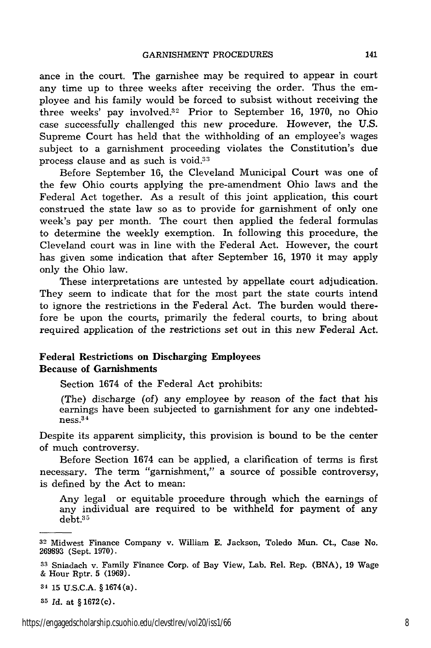ance in the court. The garnishee may be required to appear in court any time up to three weeks after receiving the order. Thus the employee and his family would be forced to subsist without receiving the three weeks' pay involved.<sup>32</sup> Prior to September 16, 1970, no Ohio case successfully challenged this new procedure. However, the U.S. Supreme Court has held that the withholding of an employee's wages subject to a garnishment proceeding violates the Constitution's due process clause and as such is void.<sup>33</sup>

Before September 16, the Cleveland Municipal Court was one of the few Ohio courts applying the pre-amendment Ohio laws and the Federal Act together. As a result of this joint application, this court construed the state law so as to provide for garnishment of only one week's pay per month. The court then applied the federal formulas to determine the weekly exemption. In following this procedure, the Cleveland court was in line with the Federal Act. However, the court has given some indication that after September 16, 1970 it may apply only the Ohio law.

These interpretations are untested by appellate court adjudication. They seem to indicate that for the most part the state courts intend to ignore the restrictions in the Federal Act. The burden would therefore be upon the courts, primarily the federal courts, to bring about required application of the restrictions set out in this new Federal Act.

#### Federal Restrictions on Discharging Employees Because of Garnishments

Section 1674 of the Federal Act prohibits:

(The) discharge (of) any employee by reason of the fact that his earnings have been subjected to garnishment for any one indebtedness. 34

Despite its apparent simplicity, this provision is bound to be the center of much controversy.

Before Section 1674 can be applied, a clarification of terms is first necessary. The term "garnishment," a source of possible controversy, is defined by the Act to mean:

Any legal or equitable procedure through which the earnings of any individual are required to be withheld for payment of any debt.35

**34 15 U.S.C.A.** § 1674 (a).

**<sup>35</sup>***Id.* at § 1672(c).

**<sup>32</sup>** Midwest Finance Company v. William E. Jackson, Toledo Mun. Ct., Case No. 269893 (Sept. 1970).

**<sup>33</sup>**Sniadach v. Family Finance Corp. of Bay View, Lab. Rel. Rep. (BNA), 19 Wage & Hour Rptr. 5 (1969).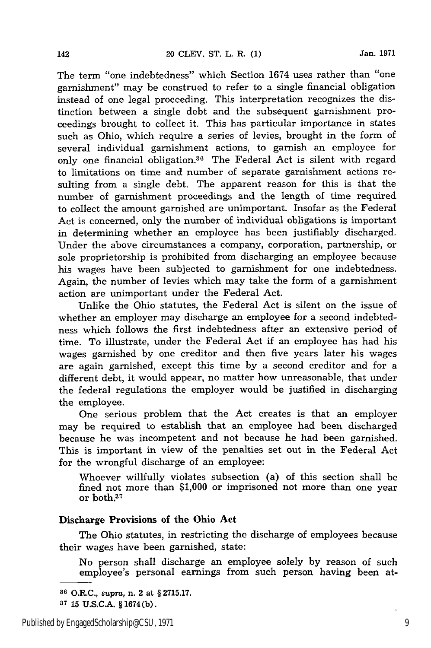The term "one indebtedness" which Section 1674 uses rather than "one garnishment" may be construed to refer to a single financial obligation instead of one legal proceeding. This interpretation recognizes the distinction between a single debt and the subsequent garnishment proceedings brought to collect it. This has particular importance in states such as Ohio, which require a series of levies, brought in the form of several individual garnishment actions, to garnish an employee for only one financial obligation.<sup>36</sup> The Federal Act is silent with regard to limitations on time and number of separate garnishment actions resulting from a single debt. The apparent reason for this is that the number of garnishment proceedings and the length of time required to collect the amount garnished are unimportant. Insofar as the Federal Act is concerned, only the number of individual obligations is important in determining whether an employee has been justifiably discharged. Under the above circumstances a company, corporation, partnership, or sole proprietorship is prohibited from discharging an employee because his wages have been subjected to garnishment for one indebtedness. Again, the number of levies which may take the form of a garnishment action are unimportant under the Federal Act.

Unlike the Ohio statutes, the Federal Act is silent on the issue of whether an employer may discharge an employee for a second indebtedness which follows the first indebtedness after an extensive period of time. To illustrate, under the Federal Act if an employee has had his wages garnished by one creditor and then five years later his wages are again garnished, except this time by a second creditor and for a different debt, it would appear, no matter how unreasonable, that under the federal regulations the employer would be justified in discharging the employee.

One serious problem that the Act creates is that an employer may be required to establish that an employee had been discharged because he was incompetent and not because he had been garnished. This is important in view of the penalties set out in the Federal Act for the wrongful discharge of an employee:

Whoever willfully violates subsection (a) of this section shall be fined not more than \$1,000 or imprisoned not more than one year or both.<sup>37</sup>

### Discharge Provisions of **the Ohio Act**

The Ohio statutes, in restricting the discharge of employees because their wages have been garnished, state:

No person shall discharge an employee solely by reason of such employee's personal earnings from such person having been at-

142

**<sup>36</sup>**O.R.C., *supra,* n. 2 at § 2715.17.

**<sup>37</sup>**15 U.S.C.A. § 1674(b).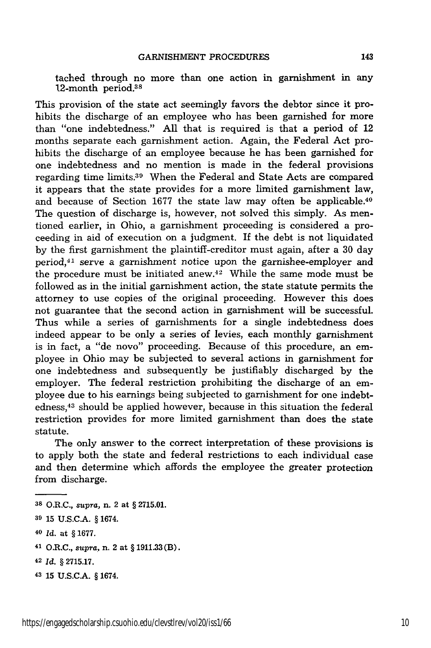tached through no more than one action in garnishment in any 12-month period.<sup>38</sup>

This provision of the state act seemingly favors the debtor since it prohibits the discharge of an employee who has been garnished for more than "one indebtedness." All that is required is that a period of 12 months separate each garnishment action. Again, the Federal Act prohibits the discharge of an employee because he has been garnished for one indebtedness and no mention is made in the federal provisions regarding time limits.39 When the Federal and State Acts are compared it appears that the state provides for a more limited garnishment law, and because of Section 1677 the state law may often be applicable.<sup>40</sup> The question of discharge is, however, not solved this simply. As mentioned earlier, in Ohio, a garnishment proceeding is considered a proceeding in aid of execution on a judgment. If the debt is not liquidated by the first garnishment the plaintiff-creditor must again, after a 30 day period, 41 serve a garnishment notice upon the garnishee-employer and the procedure must be initiated anew.<sup>42</sup> While the same mode must be followed as in the initial garnishment action, the state statute permits the attorney to use copies of the original proceeding. However this does not guarantee that the second action in garnishment will be successful. Thus while a series of garnishments for a single indebtedness does indeed appear to be only a series of levies, each monthly garnishment is in fact, a "de novo" proceeding. Because of this procedure, an employee in Ohio may be subjected to several actions in garnishment for one indebtedness and subsequently be justifiably discharged by the employer. The federal restriction prohibiting the discharge of an employee due to his earnings being subjected to garnishment for one indebtedness,43 should be applied however, because in this situation the federal restriction provides for more limited garnishment than does the state statute.

The only answer to the correct interpretation of these provisions is to apply both the state and federal restrictions to each individual case and then determine which affords the employee the greater protection from discharge.

**<sup>38</sup>**O.R.C., *supra,* n. 2 at § 2715.01.

**<sup>39</sup>** 15 U.S.C.A. § 1674.

**<sup>40</sup>***Id.* at § 1677.

**<sup>41</sup>**O.R.C., *supra,* n. 2 at § 1911.33 (B).

**<sup>42</sup>***Id.* § 2715.17.

**<sup>43</sup>**15 U.S.C.A. § 1674.